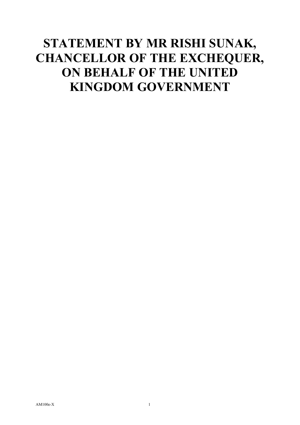## **STATEMENT BY MR RISHI SUNAK, CHANCELLOR OF THE EXCHEQUER, ON BEHALF OF THE UNITED KINGDOM GOVERNMENT**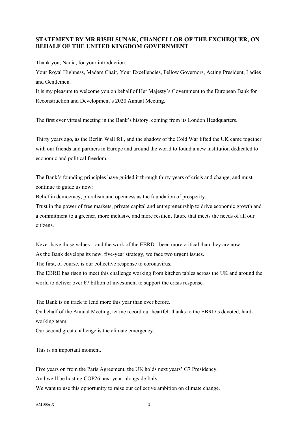## **STATEMENT BY MR RISHI SUNAK, CHANCELLOR OF THE EXCHEQUER, ON BEHALF OF THE UNITED KINGDOM GOVERNMENT**

Thank you, Nadia, for your introduction.

Your Royal Highness, Madam Chair, Your Excellencies, Fellow Governors, Acting President, Ladies and Gentlemen.

It is my pleasure to welcome you on behalf of Her Majesty's Government to the European Bank for Reconstruction and Development's 2020 Annual Meeting.

The first ever virtual meeting in the Bank's history, coming from its London Headquarters.

Thirty years ago, as the Berlin Wall fell, and the shadow of the Cold War lifted the UK came together with our friends and partners in Europe and around the world to found a new institution dedicated to economic and political freedom.

The Bank's founding principles have guided it through thirty years of crisis and change, and must continue to guide us now:

Belief in democracy, pluralism and openness as the foundation of prosperity.

Trust in the power of free markets, private capital and entrepreneurship to drive economic growth and a commitment to a greener, more inclusive and more resilient future that meets the needs of all our citizens.

Never have those values – and the work of the EBRD - been more critical than they are now. As the Bank develops its new, five-year strategy, we face two urgent issues.

The first, of course, is our collective response to coronavirus.

The EBRD has risen to meet this challenge working from kitchen tables across the UK and around the world to deliver over  $\epsilon$ 7 billion of investment to support the crisis response.

The Bank is on track to lend more this year than ever before.

On behalf of the Annual Meeting, let me record our heartfelt thanks to the EBRD's devoted, hardworking team.

Our second great challenge is the climate emergency.

This is an important moment.

Five years on from the Paris Agreement, the UK holds next years' G7 Presidency.

And we'll be hosting COP26 next year, alongside Italy.

We want to use this opportunity to raise our collective ambition on climate change.